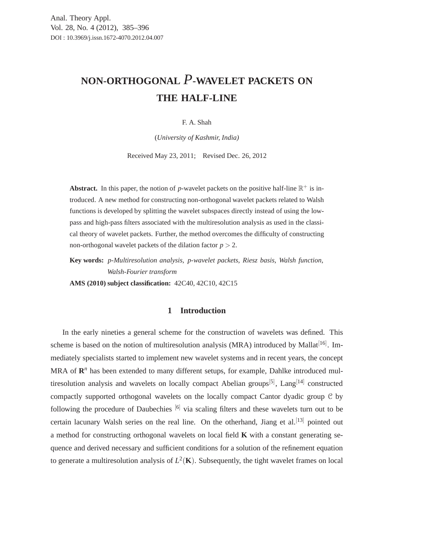# **NON-ORTHOGONAL** *P***-WAVELET PACKETS ON THE HALF-LINE**

#### F. A. Shah

(*University of Kashmir, India)*

Received May 23, 2011; Revised Dec. 26, 2012

**Abstract.** In this paper, the notion of *p*-wavelet packets on the positive half-line  $\mathbb{R}^+$  is introduced. A new method for constructing non-orthogonal wavelet packets related to Walsh functions is developed by splitting the wavelet subspaces directly instead of using the lowpass and high-pass filters associated with the multiresolution analysis as used in the classical theory of wavelet packets. Further, the method overcomes the difficulty of constructing non-orthogonal wavelet packets of the dilation factor  $p > 2$ .

**Key words:** *p-Multiresolution analysis, p-wavelet packets, Riesz basis, Walsh function, Walsh-Fourier transform*

**AMS (2010) subject classification:** 42C40, 42C10, 42C15

## **1 Introduction**

In the early nineties a general scheme for the construction of wavelets was defined. This scheme is based on the notion of multiresolution analysis (MRA) introduced by Mallat<sup>[16]</sup>. Immediately specialists started to implement new wavelet systems and in recent years, the concept  $MRA$  of  $\mathbb{R}^n$  has been extended to many different setups, for example, Dahlke introduced multiresolution analysis and wavelets on locally compact Abelian groups<sup>[5]</sup>, Lang<sup>[14]</sup> constructed compactly supported orthogonal wavelets on the locally compact Cantor dyadic group C by following the procedure of Daubechies  $\left[6\right]$  via scaling filters and these wavelets turn out to be certain lacunary Walsh series on the real line. On the otherhand, Jiang et al.<sup>[13]</sup> pointed out a method for constructing orthogonal wavelets on local field **K** with a constant generating sequence and derived necessary and sufficient conditions for a solution of the refinement equation to generate a multiresolution analysis of  $L^2(\mathbf{K})$ . Subsequently, the tight wavelet frames on local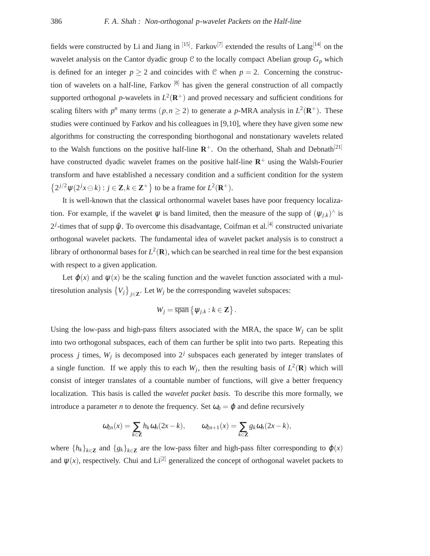fields were constructed by Li and Jiang in  $[15]$ . Farkov $[7]$  extended the results of Lang $[14]$  on the wavelet analysis on the Cantor dyadic group  $C$  to the locally compact Abelian group  $G_p$  which is defined for an integer  $p \ge 2$  and coincides with C when  $p = 2$ . Concerning the construction of wavelets on a half-line, Farkov  $[8]$  has given the general construction of all compactly supported orthogonal p-wavelets in  $L^2(\mathbf{R}^+)$  and proved necessary and sufficient conditions for scaling filters with  $p^n$  many terms  $(p, n \ge 2)$  to generate a p-MRA analysis in  $L^2(\mathbf{R}^+)$ . These studies were continued by Farkov and his colleagues in [9,10], where they have given some new algorithms for constructing the corresponding biorthogonal and nonstationary wavelets related to the Walsh functions on the positive half-line  $\mathbb{R}^+$ . On the otherhand, Shah and Debnath<sup>[21]</sup> have constructed dyadic wavelet frames on the positive half-line  $\mathbb{R}^+$  using the Walsh-Fourier transform and have established a necessary condition and a sufficient condition for the system  $\{2^{j/2}\psi(2^{j}x \ominus k) : j \in \mathbb{Z}, k \in \mathbb{Z}^+\}$  to be a frame for  $L^2(\mathbb{R}^+)$ .

It is well-known that the classical orthonormal wavelet bases have poor frequency localization. For example, if the wavelet  $\psi$  is band limited, then the measure of the supp of  $(\psi_{j,k})^{\wedge}$  is  $2^{j}$ -times that of supp  $\hat{\psi}$ . To overcome this disadvantage, Coifman et al.<sup>[4]</sup> constructed univariate orthogonal wavelet packets. The fundamental idea of wavelet packet analysis is to construct a library of orthonormal bases for  $L^2(\mathbf{R})$ , which can be searched in real time for the best expansion with respect to a given application.

Let  $\varphi(x)$  and  $\psi(x)$  be the scaling function and the wavelet function associated with a multiresolution analysis  $\{V_j\}_{j \in \mathbb{Z}}$ . Let  $W_j$  be the corresponding wavelet subspaces:

$$
W_j = \overline{\operatorname{span}} \left\{ \psi_{j,k} : k \in \mathbb{Z} \right\}.
$$

Using the low-pass and high-pass filters associated with the MRA, the space  $W_i$  can be split into two orthogonal subspaces, each of them can further be split into two parts. Repeating this process *j* times,  $W_j$  is decomposed into  $2^j$  subspaces each generated by integer translates of a single function. If we apply this to each  $W_j$ , then the resulting basis of  $L^2(\mathbf{R})$  which will consist of integer translates of a countable number of functions, will give a better frequency localization. This basis is called the *wavelet packet basis*. To describe this more formally, we introduce a parameter *n* to denote the frequency. Set  $\omega_0 = \varphi$  and define recursively

$$
\omega_{2n}(x) = \sum_{k \in \mathbb{Z}} h_k \omega_n(2x - k), \qquad \omega_{2n+1}(x) = \sum_{k \in \mathbb{Z}} g_k \omega_n(2x - k),
$$

where  $\{h_k\}_{k\in\mathbb{Z}}$  and  $\{g_k\}_{k\in\mathbb{Z}}$  are the low-pass filter and high-pass filter corresponding to  $\varphi(x)$ and  $\psi(x)$ , respectively. Chui and Li<sup>[2]</sup> generalized the concept of orthogonal wavelet packets to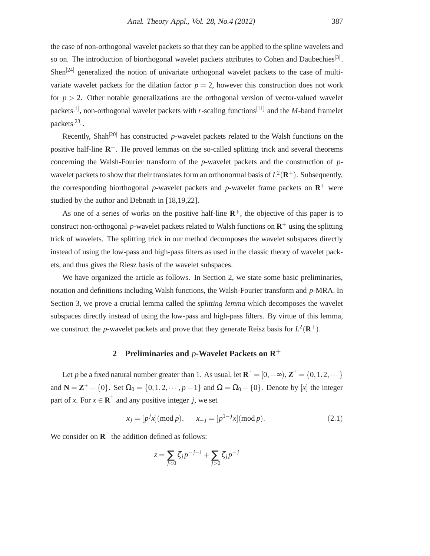Recently, Shah<sup>[20]</sup> has constructed *p*-wavelet packets related to the Walsh functions on the positive half-line **R** <sup>+</sup>. He proved lemmas on the so-called splitting trick and several theorems concerning the Walsh-Fourier transform of the *p*-wavelet packets and the construction of *p*wavelet packets to show that their translates form an orthonormal basis of  $L^2(\mathbf{R}^+)$ . Subsequently, the corresponding biorthogonal p-wavelet packets and p-wavelet frame packets on  $\mathbb{R}^+$  were studied by the author and Debnath in [18,19,22].

As one of a series of works on the positive half-line  $\mathbb{R}^+$ , the objective of this paper is to construct non-orthogonal p-wavelet packets related to Walsh functions on  $\mathbb{R}^+$  using the splitting trick of wavelets. The splitting trick in our method decomposes the wavelet subspaces directly instead of using the low-pass and high-pass filters as used in the classic theory of wavelet packets, and thus gives the Riesz basis of the wavelet subspaces.

We have organized the article as follows. In Section 2, we state some basic preliminaries, notation and definitions including Walsh functions, the Walsh-Fourier transform and *p*-MRA. In Section 3, we prove a crucial lemma called the *splitting lemma* which decomposes the wavelet subspaces directly instead of using the low-pass and high-pass filters. By virtue of this lemma, we construct the *p*-wavelet packets and prove that they generate Reisz basis for  $L^2(\mathbf{R}^+)$ .

## **2 Preliminaries and** *p***-Wavelet Packets on R**<sup>+</sup>

Let *p* be a fixed natural number greater than 1. As usual, let  $\mathbf{R}^+ = [0, +\infty)$ ,  $\mathbf{Z}^+ = \{0, 1, 2, \cdots\}$ and  $N = \mathbb{Z}^+ - \{0\}$ . Set  $\Omega_0 = \{0, 1, 2, \dots, p-1\}$  and  $\Omega = \Omega_0 - \{0\}$ . Denote by [*x*] the integer part of *x*. For  $x \in \mathbf{R}^+$  and any positive integer *j*, we set

$$
x_j = [p^j x] \pmod{p}, \qquad x_{-j} = [p^{1-j} x] \pmod{p}.
$$
 (2.1)

We consider on  $\mathbf{R}^+$  the addition defined as follows:

packets<sup>[23]</sup>.

$$
z = \sum_{j < 0} \zeta_j p^{-j-1} + \sum_{j > 0} \zeta_j p^{-j}
$$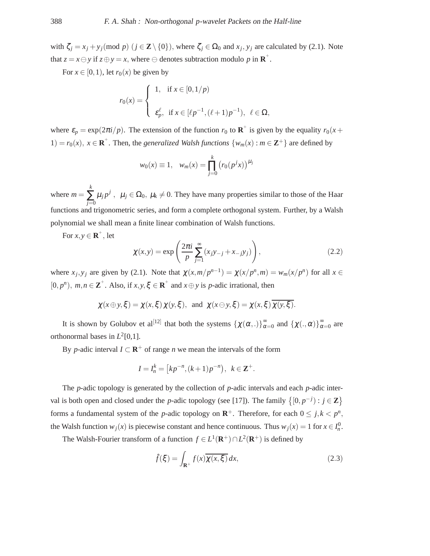with  $\zeta_j = x_j + y_j \pmod{p}$   $(j \in \mathbb{Z} \setminus \{0\})$ , where  $\zeta_j \in \Omega_0$  and  $x_j, y_j$  are calculated by (2.1). Note that  $z = x \ominus y$  if  $z \oplus y = x$ , where  $\ominus$  denotes subtraction modulo p in  $\mathbb{R}^+$ .

For  $x \in [0,1)$ , let  $r_0(x)$  be given by

$$
r_0(x) = \begin{cases} 1, & \text{if } x \in [0, 1/p) \\ \varepsilon_p^{\ell}, & \text{if } x \in [\ell p^{-1}, (\ell + 1)p^{-1}), \ \ell \in \Omega, \end{cases}
$$

where  $\varepsilon_p = \exp(2\pi i/p)$ . The extension of the function  $r_0$  to  $\mathbf{R}^+$  is given by the equality  $r_0(x +$ 1) =  $r_0(x)$ ,  $x \in \mathbb{R}^+$ . Then, the *generalized Walsh functions* { $w_m(x)$  :  $m \in \mathbb{Z}^+$ } are defined by

$$
w_0(x) \equiv 1, \quad w_m(x) = \prod_{j=0}^k (r_0(p^j x))^{\mu_j}
$$

where  $m =$ *k* ∑ *j*=0  $\mu_j p^j$ ,  $\mu_j \in \Omega_0$ ,  $\mu_k \neq 0$ . They have many properties similar to those of the Haar functions and trigonometric series, and form a complete orthogonal system. Further, by a Walsh polynomial we shall mean a finite linear combination of Walsh functions.

For  $x, y \in \mathbf{R}^+$ , let

$$
\chi(x,y) = \exp\left(\frac{2\pi i}{p} \sum_{j=1}^{\infty} (x_j y_{-j} + x_{-j} y_j)\right),\tag{2.2}
$$

where  $x_j, y_j$  are given by (2.1). Note that  $\chi(x, m/p^{n-1}) = \chi(x/p^n, m) = w_m(x/p^n)$  for all  $x \in$  $[0, p^n)$ ,  $m, n \in \mathbb{Z}^+$ . Also, if  $x, y, \xi \in \mathbb{R}^+$  and  $x \oplus y$  is *p*-adic irrational, then

$$
\chi(x \oplus y, \xi) = \chi(x, \xi) \chi(y, \xi)
$$
, and  $\chi(x \ominus y, \xi) = \chi(x, \xi) \overline{\chi(y, \xi)}$ .

It is shown by Golubov et al<sup>[12]</sup> that both the systems  $\{\chi(\alpha,.)\}^{\infty}_{\alpha}$  $\sum_{\alpha=0}^{\infty}$  and  $\{\chi(.,\alpha)\}_{\alpha}^{\infty}$  $\frac{\infty}{\alpha=0}$  are orthonormal bases in  $L^2[0,1]$ .

By *p*-adic interval  $I \subset \mathbf{R}^+$  of range *n* we mean the intervals of the form

$$
I = I_n^k = [kp^{-n}, (k+1)p^{-n}), \ k \in \mathbb{Z}^+.
$$

The *p*-adic topology is generated by the collection of *p*-adic intervals and each *p*-adic interval is both open and closed under the *p*-adic topology (see [17]). The family  $\{[0, p^{-j}) : j \in \mathbb{Z}\}\$ forms a fundamental system of the *p*-adic topology on  $\mathbb{R}^+$ . Therefore, for each  $0 \le j, k < p^n$ , the Walsh function  $w_j(x)$  is piecewise constant and hence continuous. Thus  $w_j(x) = 1$  for  $x \in I_n^0$ .

The Walsh-Fourier transform of a function  $f \in L^1(\mathbf{R}^+) \cap L^2(\mathbf{R}^+)$  is defined by

$$
\hat{f}(\xi) = \int_{\mathbf{R}^+} f(x) \overline{\chi(x, \xi)} dx,
$$
\n(2.3)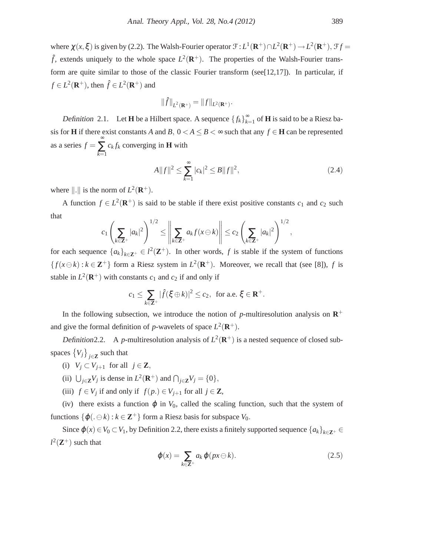where  $\chi(x,\xi)$  is given by (2.2). The Walsh-Fourier operator  $\mathcal{F}: L^1(\mathbf{R}^+) \cap L^2(\mathbf{R}^+) \to L^2(\mathbf{R}^+), \mathcal{F}f =$  $\hat{f}$ , extends uniquely to the whole space  $L^2(\mathbf{R}^+)$ . The properties of the Walsh-Fourier transform are quite similar to those of the classic Fourier transform (see [ $12,17$ ]). In particular, if  $f \in L^2(\mathbf{R}^+)$ , then  $\hat{f} \in L^2(\mathbf{R}^+)$  and

$$
\|\hat{f}\|_{L^2(\mathbf{R}^+)} = \|f\|_{L^2(\mathbf{R}^+)}
$$

Definition 2.1. Let **H** be a Hilbert space. A sequence  $\{f_k\}_{k=1}^{\infty}$  $\sum_{k=1}^{\infty}$  of **H** is said to be a Riesz basis for **H** if there exist constants *A* and *B*,  $0 < A \leq B < \infty$  such that any  $f \in$  **H** can be represented as a series  $f =$ ∞ ∑ *k*=1  $c_k f_k$  converging in **H** with

$$
A||f||^2 \le \sum_{k=1}^{\infty} |c_k|^2 \le B||f||^2,
$$
\n(2.4)

.

where  $\|\cdot\|$  is the norm of  $L^2(\mathbf{R}^+)$ .

A function  $f \in L^2(\mathbf{R}^+)$  is said to be stable if there exist positive constants  $c_1$  and  $c_2$  such that

$$
c_1\left(\sum_{k\in\mathbf{Z}^+}|a_k|^2\right)^{1/2}\leq \left\|\sum_{k\in\mathbf{Z}^+}a_kf(x\ominus k)\right\|\leq c_2\left(\sum_{k\in\mathbf{Z}^+}|a_k|^2\right)^{1/2},
$$

for each sequence  $\{a_k\}_{k \in \mathbb{Z}^+} \in l^2(\mathbb{Z}^+)$ . In other words, f is stable if the system of functions  ${f(x \ominus k) : k \in \mathbb{Z}^+}$  form a Riesz system in  $L^2(\mathbb{R}^+)$ . Moreover, we recall that (see [8]), *f* is stable in  $L^2(\mathbf{R}^+)$  with constants  $c_1$  and  $c_2$  if and only if

$$
c_1 \leq \sum_{k \in \mathbf{Z}^+} |\widehat{f}(\xi \oplus k)|^2 \leq c_2, \text{ for a.e. } \xi \in \mathbf{R}^+.
$$

In the following subsection, we introduce the notion of  $p$ -multiresolution analysis on  $\mathbb{R}^+$ and give the formal definition of *p*-wavelets of space  $L^2(\mathbf{R}^+)$ .

Definition 2.2. A *p*-multiresolution analysis of  $L^2(\mathbf{R}^+)$  is a nested sequence of closed subspaces  $\{V_j\}_{j\in\mathbb{Z}}$  such that

- (i)  $V_j \subset V_{j+1}$  for all  $j \in \mathbb{Z}$ ,
- (ii)  $\bigcup_{j \in \mathbf{Z}} V_j$  is dense in  $L^2(\mathbf{R}^+)$  and  $\bigcap_{j \in \mathbf{Z}} V_j = \{0\},\$
- (iii) *f* ∈ *V<sub>j</sub>* if and only if *f*(*p*.) ∈ *V*<sub>*j*+1</sub> for all *j* ∈ **Z**,

(iv) there exists a function  $\varphi$  in  $V_0$ , called the scaling function, such that the system of functions  $\{\varphi(\cdot \ominus k) : k \in \mathbb{Z}^+\}$  form a Riesz basis for subspace  $V_0$ .

Since  $\varphi(x) \in V_0 \subset V_1$ , by Definition 2.2, there exists a finitely supported sequence  $\{a_k\}_{k \in \mathbb{Z}^+} \in$  $l^2(\mathbf{Z}^+)$  such that

$$
\varphi(x) = \sum_{k \in \mathbb{Z}^+} a_k \varphi(px \ominus k). \tag{2.5}
$$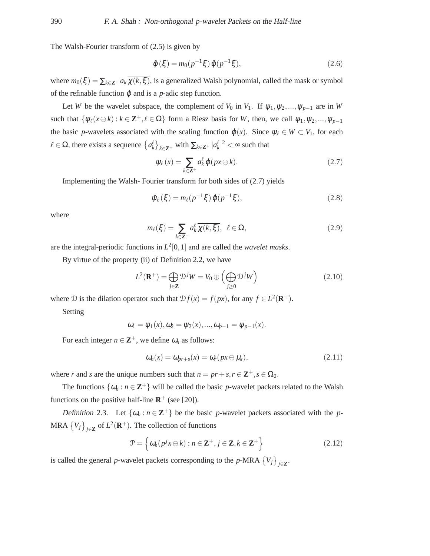The Walsh-Fourier transform of (2.5) is given by

$$
\hat{\varphi}(\xi) = m_0(p^{-1}\xi)\,\hat{\varphi}(p^{-1}\xi),\tag{2.6}
$$

where  $m_0(\xi) = \sum_{k \in \mathbb{Z}^+} a_k \overline{\chi(k,\xi)}$ , is a generalized Walsh polynomial, called the mask or symbol of the refinable function  $\varphi$  and is a *p*-adic step function.

Let *W* be the wavelet subspace, the complement of  $V_0$  in  $V_1$ . If  $\psi_1, \psi_2, ..., \psi_{p-1}$  are in *W* such that  $\{\psi_{\ell}(x \ominus k) : k \in \mathbb{Z}^+, \ell \in \Omega\}$  form a Riesz basis for *W*, then, we call  $\psi_1, \psi_2, ..., \psi_{p-1}$ the basic *p*-wavelets associated with the scaling function  $\varphi(x)$ . Since  $\psi_{\ell} \in W \subset V_1$ , for each  $\ell$  ∈ Ω, there exists a sequence  $\{a_k^{\ell}\}_{k \in \mathbb{Z}^+}$  with  $\sum_{k \in \mathbb{Z}^+} |a_k^{\ell}|^2 < ∞$  such that

$$
\psi_{\ell}(x) = \sum_{k \in \mathbb{Z}^{+}} a_{k}^{\ell} \varphi(px \ominus k).
$$
 (2.7)

Implementing the Walsh- Fourier transform for both sides of (2.7) yields

$$
\hat{\psi}_{\ell}(\xi) = m_{\ell}(p^{-1}\xi)\,\hat{\varphi}(p^{-1}\xi),\tag{2.8}
$$

where

$$
m_{\ell}(\xi) = \sum_{k \in \mathbb{Z}^+} a_k^{\ell} \overline{\chi(k, \xi)}, \ \ell \in \Omega, \tag{2.9}
$$

are the integral-periodic functions in  $L^2[0,1]$  and are called the *wavelet masks*.

By virtue of the property (ii) of Definition 2.2, we have

$$
L^{2}(\mathbf{R}^{+}) = \bigoplus_{j \in \mathbf{Z}} \mathcal{D}^{j}W = V_{0} \oplus \left(\bigoplus_{j \geq 0} \mathcal{D}^{j}W\right)
$$
(2.10)

where  $D$  is the dilation operator such that  $Df(x) = f(px)$ , for any  $f \in L^2(\mathbf{R}^+)$ .

Setting

$$
\omega_1 = \psi_1(x), \omega_2 = \psi_2(x), ..., \omega_{p-1} = \psi_{p-1}(x).
$$

For each integer  $n \in \mathbb{Z}^+$ , we define  $\omega_n$  as follows:

$$
\omega_n(x) = \omega_{pr+s}(x) = \omega_r(px \ominus \mu_s), \qquad (2.11)
$$

where *r* and *s* are the unique numbers such that  $n = pr + s, r \in \mathbb{Z}^+, s \in \Omega_0$ .

The functions  $\{\omega_n : n \in \mathbb{Z}^+\}$  will be called the basic *p*-wavelet packets related to the Walsh functions on the positive half-line  $\mathbb{R}^+$  (see [20]).

Definition 2.3. Let  $\{\omega_n : n \in \mathbb{Z}^+\}$  be the basic *p*-wavelet packets associated with the *p*-MRA  ${V_j}_{j \in \mathbf{Z}}$  of  $L^2(\mathbf{R}^+)$ . The collection of functions

$$
\mathcal{P} = \left\{ \omega_n(p^j x \ominus k) : n \in \mathbf{Z}^+, j \in \mathbf{Z}, k \in \mathbf{Z}^+ \right\}
$$
 (2.12)

is called the general *p*-wavelet packets corresponding to the *p*-MRA  ${V_j}_{j \in \mathbb{Z}}$ .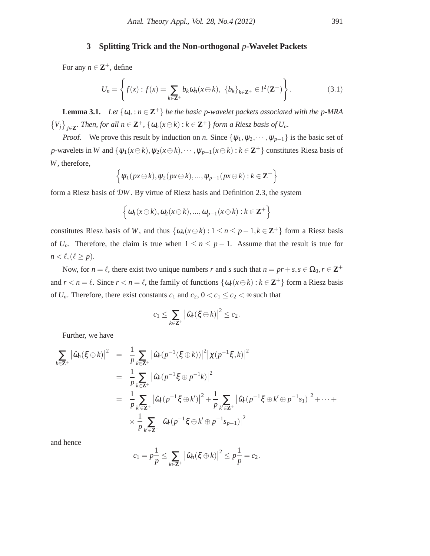## **3 Splitting Trick and the Non-orthogonal** *p***-Wavelet Packets**

For any  $n \in \mathbb{Z}^+$ , define

$$
U_n = \left\{ f(x) : f(x) = \sum_{k \in \mathbf{Z}^+} b_k \omega_n(x \ominus k), \ \{b_k\}_{k \in \mathbf{Z}^+} \in l^2(\mathbf{Z}^+) \right\}.
$$
 (3.1)

**Lemma 3.1.** *Let*  $\{\omega_n : n \in \mathbb{Z}^+\}$  *be the basic p-wavelet packets associated with the p-MRA*  $\{V_j\}_{j\in\mathbf{Z}}$ . Then, for all  $n \in \mathbf{Z}^+$ ,  $\{\omega_n(x\ominus k):k\in \mathbf{Z}^+\}$  form a Riesz basis of  $U_n$ .

*Proof.* We prove this result by induction on *n*. Since  $\{\psi_1, \psi_2, \cdots, \psi_{p-1}\}$  is the basic set of *p*-wavelets in *W* and  $\{\psi_1(x\ominus k), \psi_2(x\ominus k), \cdots, \psi_{p-1}(x\ominus k) : k \in \mathbb{Z}^+\}$  constitutes Riesz basis of *W*, therefore,

$$
\left\{\psi_1(p x \ominus k), \psi_2(p x \ominus k), ..., \psi_{p-1}(p x \ominus k) : k \in \mathbb{Z}^+\right\}
$$

form a Riesz basis of D*W*. By virtue of Riesz basis and Definition 2.3, the system

$$
\left\{\omega_1(x\ominus k),\omega_2(x\ominus k),...,\omega_{p-1}(x\ominus k):k\in\mathbf{Z}^+\right\}
$$

constitutes Riesz basis of *W*, and thus  $\{\omega_n(x \in \mathcal{k}) : 1 \leq n \leq p-1, k \in \mathbb{Z}^+\}$  form a Riesz basis of  $U_n$ . Therefore, the claim is true when  $1 \le n \le p-1$ . Assume that the result is true for  $n < \ell, (\ell \geq p).$ 

Now, for  $n = \ell$ , there exist two unique numbers *r* and *s* such that  $n = pr + s$ ,  $s \in \Omega_0, r \in \mathbb{Z}^+$ and  $r < n = \ell$ . Since  $r < n = \ell$ , the family of functions  $\{\omega_r(x \ominus k) : k \in \mathbb{Z}^+\}$  form a Riesz basis of  $U_n$ . Therefore, there exist constants  $c_1$  and  $c_2$ ,  $0 < c_1 \le c_2 < \infty$  such that

$$
c_1 \leq \sum_{k \in \mathbf{Z}^+} \big| \hat{\omega}_r(\xi \oplus k) \big|^2 \leq c_2.
$$

Further, we have

$$
\sum_{k \in \mathbf{Z}^{+}} |\hat{\omega}_{n}(\xi \oplus k)|^{2} = \frac{1}{p} \sum_{k \in \mathbf{Z}^{+}} |\hat{\omega}_{r}(p^{-1}(\xi \oplus k))|^{2} |\chi(p^{-1}\xi, k)|^{2}
$$
  
\n
$$
= \frac{1}{p} \sum_{k \in \mathbf{Z}^{+}} |\hat{\omega}_{r}(p^{-1}\xi \oplus p^{-1}k)|^{2}
$$
  
\n
$$
= \frac{1}{p} \sum_{k' \in \mathbf{Z}^{+}} |\hat{\omega}_{r}(p^{-1}\xi \oplus k')|^{2} + \frac{1}{p} \sum_{k' \in \mathbf{Z}^{+}} |\hat{\omega}_{r}(p^{-1}\xi \oplus k' \oplus p^{-1}s_{1})|^{2} + \cdots +
$$
  
\n
$$
\times \frac{1}{p} \sum_{k' \in \mathbf{Z}^{+}} |\hat{\omega}_{r}(p^{-1}\xi \oplus k' \oplus p^{-1}s_{p-1})|^{2}
$$

and hence

$$
c_1=p\frac{1}{p}\leq \sum_{k\in\mathbf{Z}^+}\big|\hat{\omega}_n(\xi\oplus k)\big|^2\leq p\frac{1}{p}=c_2.
$$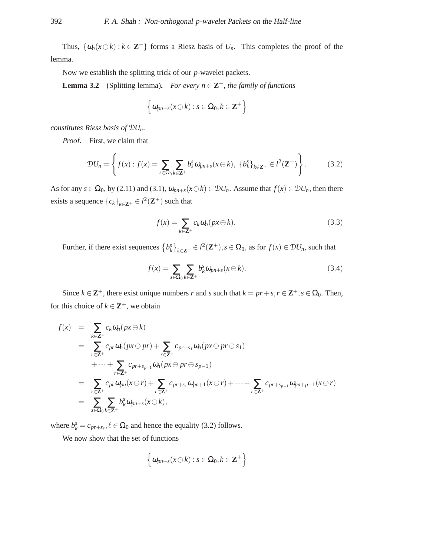Thus,  $\{\omega_n(x\ominus k): k \in \mathbb{Z}^+\}$  forms a Riesz basis of  $U_n$ . This completes the proof of the lemma.

Now we establish the splitting trick of our *p*-wavelet packets.

**Lemma 3.2** (Splitting lemma). *For every n*  $\in \mathbb{Z}^+$ *, the family of functions* 

$$
\left\{\omega_{pn+s}(x\ominus k):s\in\Omega_0,k\in\mathbf{Z}^+\right\}
$$

*constitutes Riesz basis of* D*Un.*

Proof. First, we claim that

$$
\mathcal{D}U_n = \left\{ f(x) : f(x) = \sum_{s \in \Omega_0} \sum_{k \in \mathbb{Z}^+} b_k^s \omega_{pn+s}(x \ominus k), \ \left\{ b_k^s \right\}_{k \in \mathbb{Z}^+} \in l^2(\mathbb{Z}^+) \right\}.
$$
 (3.2)

As for any  $s \in \Omega_0$ , by (2.11) and (3.1),  $\omega_{pn+s}(x \ominus k) \in \mathcal{D}U_n$ . Assume that  $f(x) \in \mathcal{D}U_n$ , then there exists a sequence  ${c_k}_{k \in \mathbf{Z}^+} \in l^2(\mathbf{Z}^+)$  such that

$$
f(x) = \sum_{k \in \mathbb{Z}^+} c_k \omega_n(px \ominus k).
$$
 (3.3)

Further, if there exist sequences  ${b_k^s}_{k \in \mathbb{Z}^+} \in l^2(\mathbb{Z}^+), s \in \Omega_0$ , as for  $f(x) \in \mathcal{D}U_n$ , such that

$$
f(x) = \sum_{s \in \Omega_0} \sum_{k \in \mathbb{Z}^+} b_k^s \omega_{pn+s}(x \ominus k).
$$
 (3.4)

Since  $k \in \mathbb{Z}^+$ , there exist unique numbers *r* and *s* such that  $k = pr + s, r \in \mathbb{Z}^+, s \in \Omega_0$ . Then, for this choice of  $k \in \mathbb{Z}^+$ , we obtain

$$
f(x) = \sum_{k \in \mathbf{Z}^+} c_k \omega_n(px \ominus k)
$$
  
\n
$$
= \sum_{r \in \mathbf{Z}^+} c_{pr} \omega_n(px \ominus pr) + \sum_{r \in \mathbf{Z}^+} c_{pr+s_1} \omega_n(px \ominus pr \ominus s_1)
$$
  
\n
$$
+ \cdots + \sum_{r \in \mathbf{Z}^+} c_{pr+s_{p-1}} \omega_n(px \ominus pr \ominus s_{p-1})
$$
  
\n
$$
= \sum_{r \in \mathbf{Z}^+} c_{pr} \omega_{pn}(x \ominus r) + \sum_{r \in \mathbf{Z}^+} c_{pr+s_1} \omega_{pn+1}(x \ominus r) + \cdots + \sum_{r \in \mathbf{Z}^+} c_{pr+s_{p-1}} \omega_{pn+p-1}(x \ominus r)
$$
  
\n
$$
= \sum_{s \in \Omega_0} \sum_{k \in \mathbf{Z}^+} b_k^s \omega_{pn+s}(x \ominus k),
$$

where  $b_k^s = c_{pr+s_\ell}, \ell \in \Omega_0$  and hence the equality (3.2) follows.

We now show that the set of functions

$$
\left\{\omega_{pn+s}(x\ominus k):s\in\Omega_0,k\in\mathbf{Z}^+\right\}
$$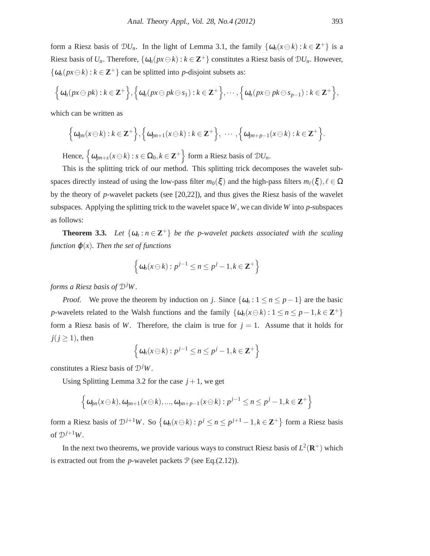form a Riesz basis of  $\mathcal{D}U_n$ . In the light of Lemma 3.1, the family  $\{\omega_n(x \ominus k) : k \in \mathbb{Z}^+\}$  is a Riesz basis of  $U_n$ . Therefore,  $\{\omega_n(px \ominus k) : k \in \mathbb{Z}^+\}$  constitutes a Riesz basis of  $\mathcal{D}U_n$ . However,  $\{\omega_n(px \ominus k) : k \in \mathbb{Z}^+\}$  can be splitted into *p*-disjoint subsets as:

$$
\Big\{\omega_n(px\ominus pk):k\in\mathbf{Z}^+\Big\},\Big\{\omega_n(px\ominus pk\ominus s_1):k\in\mathbf{Z}^+\Big\},\cdots,\Big\{\omega_n(px\ominus pk\ominus s_{p-1}):k\in\mathbf{Z}^+\Big\},\Big\}
$$

which can be written as

$$
\left\{\omega_{pn}(x\ominus k):k\in\mathbf{Z}^{+}\right\},\left\{\omega_{pn+1}(x\ominus k):k\in\mathbf{Z}^{+}\right\},\cdots,\left\{\omega_{pn+p-1}(x\ominus k):k\in\mathbf{Z}^{+}\right\}.
$$

Hence,  $\left\{\omega_{pn+s}(x\ominus k):s\in\Omega_0,k\in\mathbf{Z}^+\right\}$  form a Riesz basis of  $\mathcal{D}U_n$ .

This is the splitting trick of our method. This splitting trick decomposes the wavelet subspaces directly instead of using the low-pass filter  $m_0(\xi)$  and the high-pass filters  $m_\ell(\xi), \ell \in \Omega$ by the theory of *p*-wavelet packets (see [20,22]), and thus gives the Riesz basis of the wavelet subspaces. Applying the splitting trick to the wavelet space *W*, we can divide *W* into *p*-subspaces as follows:

**Theorem 3.3.** Let  $\{\omega_n : n \in \mathbb{Z}^+\}$  be the p-wavelet packets associated with the scaling *function*  $\varphi(x)$ *. Then the set of functions* 

$$
\left\{\omega_n(x\ominus k):p^{j-1}\leq n\leq p^j-1, k\in\mathbf{Z}^+\right\}
$$

*forms a Riesz basis of* D*jW .*

*Proof.* We prove the theorem by induction on *j*. Since  $\{\omega_n : 1 \le n \le p-1\}$  are the basic *p*-wavelets related to the Walsh functions and the family  $\{\omega_n(x\ominus k): 1 \leq n \leq p-1, k \in \mathbb{Z}^+\}$ form a Riesz basis of W. Therefore, the claim is true for  $j = 1$ . Assume that it holds for  $j(j \geq 1)$ , then

$$
\left\{\omega_n(x\ominus k):p^{j-1}\leq n\leq p^j-1, k\in \mathbf{Z}^+\right\}
$$

constitutes a Riesz basis of D*jW*.

Using Splitting Lemma 3.2 for the case  $j + 1$ , we get

$$
\left\{\omega_{pn}(x\ominus k),\omega_{pn+1}(x\ominus k),...,\omega_{pn+p-1}(x\ominus k):p^{j-1}\leq n\leq p^{j}-1,k\in\mathbf{Z}^{+}\right\}
$$

form a Riesz basis of  $\mathcal{D}^{j+1}W$ . So  $\{\omega_n(x\ominus k): p^j \le n \le p^{j+1}-1, k \in \mathbb{Z}^+\}$  form a Riesz basis of  $\mathcal{D}^{j+1}W$ .

In the next two theorems, we provide various ways to construct Riesz basis of  $L^2(\mathbf{R}^+)$  which is extracted out from the *p*-wavelet packets  $P$  (see Eq.(2.12)).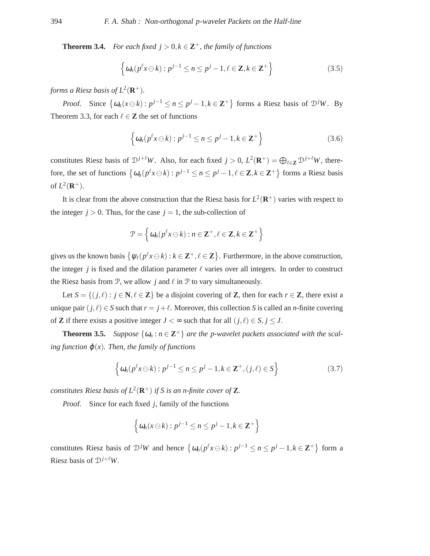**Theorem 3.4.** *For each fixed*  $j > 0, k \in \mathbb{Z}^+$ , the family of functions

$$
\left\{ \omega_n(p^\ell x \ominus k) : p^{j-1} \le n \le p^j - 1, \ell \in \mathbf{Z}, k \in \mathbf{Z}^+ \right\}
$$
 (3.5)

forms a Riesz basis of  $L^2(\mathbf{R}^+).$ 

Proof. Since  $\{\omega_n(x\ominus k): p^{j-1}\leq n\leq p^j-1, k\in \mathbb{Z}^+\}$  forms a Riesz basis of  $\mathcal{D}^jW$ . By Theorem 3.3, for each  $\ell \in \mathbb{Z}$  the set of functions

$$
\left\{ \omega_n(p^{\ell} x \ominus k) : p^{j-1} \le n \le p^j - 1, k \in \mathbb{Z}^+ \right\}
$$
 (3.6)

constitutes Riesz basis of  $\mathcal{D}^{j+\ell}W$ . Also, for each fixed  $j > 0$ ,  $L^2(\mathbf{R}^+) = \bigoplus_{\ell \in \mathbf{Z}} \mathcal{D}^{j+\ell}W$ , therefore, the set of functions  $\{\omega_n(p^{\ell}x \ominus k) : p^{j-1} \le n \le p^j - 1, \ell \in \mathbb{Z}, k \in \mathbb{Z}^+\}$  forms a Riesz basis of  $L^2(\mathbf{R}^+).$ 

It is clear from the above construction that the Riesz basis for  $L^2(\mathbf{R}^+)$  varies with respect to the integer  $j > 0$ . Thus, for the case  $j = 1$ , the sub-collection of

$$
\mathcal{P} = \left\{ \omega_n(p^{\ell} x \ominus k) : n \in \mathbf{Z}^+, \ell \in \mathbf{Z}, k \in \mathbf{Z}^+ \right\}
$$

gives us the known basis  $\{\psi_\ell(p^\ell x \ominus k) : k \in \mathbb{Z}^+, \ell \in \mathbb{Z}\}$ . Furthermore, in the above construction, the integer *j* is fixed and the dilation parameter  $\ell$  varies over all integers. In order to construct the Riesz basis from  $P$ , we allow *j* and  $\ell$  in  $P$  to vary simultaneously.

Let  $S = \{(j, \ell) : j \in \mathbb{N}, \ell \in \mathbb{Z}\}$  be a disjoint covering of **Z**, then for each  $r \in \mathbb{Z}$ , there exist a unique pair  $(j, l) \in S$  such that  $r = j + l$ . Moreover, this collection *S* is called an *n*-finite covering of **Z** if there exists a positive integer  $J < \infty$  such that for all  $(j, \ell) \in S, j \leq J$ .

**Theorem 3.5.** *Suppose*  $\{\omega_n : n \in \mathbb{Z}^+\}$  *are the p-wavelet packets associated with the scaling function*  $\varphi(x)$ *. Then, the family of functions* 

$$
\left\{ \omega_n(p^\ell x \ominus k) : p^{j-1} \le n \le p^j - 1, k \in \mathbf{Z}^+, (j, \ell) \in S \right\}
$$
 (3.7)

constitutes Riesz basis of  $L^2(\mathbf{R}^+)$  if S is an n-finite cover of **Z**.

Proof. Since for each fixed *j*, family of the functions

$$
\left\{\omega_n(x\ominus k):p^{j-1}\leq n\leq p^j-1, k\in\mathbf{Z}^+\right\}
$$

constitutes Riesz basis of  $\mathcal{D}^jW$  and hence  $\{\omega_n(p^\ell x \ominus k) : p^{j-1} \le n \le p^j - 1, k \in \mathbb{Z}^+\}$  form a Riesz basis of  $\mathcal{D}^{j+\ell}W$ .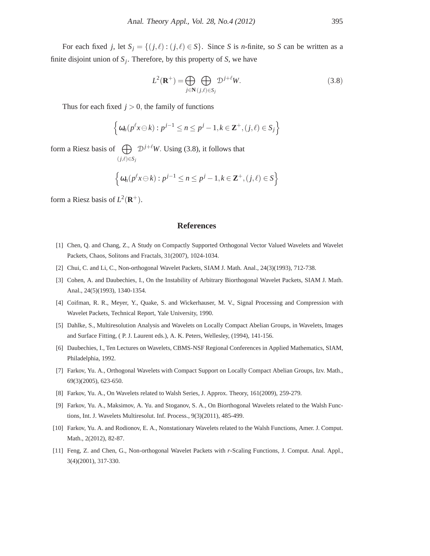For each fixed *j*, let  $S_j = \{(j, \ell) : (j, \ell) \in S\}$ . Since *S* is *n*-finite, so *S* can be written as a finite disjoint union of  $S_j$ . Therefore, by this property of *S*, we have

$$
L^{2}(\mathbf{R}^{+}) = \bigoplus_{j \in \mathbf{N}} \bigoplus_{(j,\ell) \in S_{j}} \mathcal{D}^{j+\ell}W.
$$
 (3.8)

Thus for each fixed  $j > 0$ , the family of functions

$$
\left\{\omega_n(p^{\ell}x\ominus k):p^{j-1}\leq n\leq p^j-1, k\in\mathbf{Z}^+, (j,\ell)\in S_j\right\}
$$

form a Riesz basis of  $\bigoplus D^{j+\ell}W$ . Using (3.8), it follows that (*j*,ℓ)∈*S<sup>j</sup>*

$$
\left\{\omega_n(p^{\ell}x\ominus k):p^{j-1}\leq n\leq p^j-1, k\in\mathbf{Z}^+, (j,\ell)\in S\right\}
$$

form a Riesz basis of  $L^2(\mathbf{R}^+)$ .

#### **References**

- [1] Chen, Q. and Chang, Z., A Study on Compactly Supported Orthogonal Vector Valued Wavelets and Wavelet Packets, Chaos, Solitons and Fractals, 31(2007), 1024-1034.
- [2] Chui, C. and Li, C., Non-orthogonal Wavelet Packets, SIAM J. Math. Anal., 24(3)(1993), 712-738.
- [3] Cohen, A. and Daubechies, I., On the Instability of Arbitrary Biorthogonal Wavelet Packets, SIAM J. Math. Anal., 24(5)(1993), 1340-1354.
- [4] Coifman, R. R., Meyer, Y., Quake, S. and Wickerhauser, M. V., Signal Processing and Compression with Wavelet Packets, Technical Report, Yale University, 1990.
- [5] Dahlke, S., Multiresolution Analysis and Wavelets on Locally Compact Abelian Groups, in Wavelets, Images and Surface Fitting, ( P. J. Laurent eds.), A. K. Peters, Wellesley, (1994), 141-156.
- [6] Daubechies, I., Ten Lectures on Wavelets, CBMS-NSF Regional Conferences in Applied Mathematics, SIAM, Philadelphia, 1992.
- [7] Farkov, Yu. A., Orthogonal Wavelets with Compact Support on Locally Compact Abelian Groups, Izv. Math., 69(3)(2005), 623-650.
- [8] Farkov, Yu. A., On Wavelets related to Walsh Series, J. Approx. Theory, 161(2009), 259-279.
- [9] Farkov, Yu. A., Maksimov, A. Yu. and Stoganov, S. A., On Biorthogonal Wavelets related to the Walsh Functions, Int. J. Wavelets Multiresolut. Inf. Process., 9(3)(2011), 485-499.
- [10] Farkov, Yu. A. and Rodionov, E. A., Nonstationary Wavelets related to the Walsh Functions, Amer. J. Comput. Math., 2(2012), 82-87.
- [11] Feng, Z. and Chen, G., Non-orthogonal Wavelet Packets with *r*-Scaling Functions, J. Comput. Anal. Appl., 3(4)(2001), 317-330.